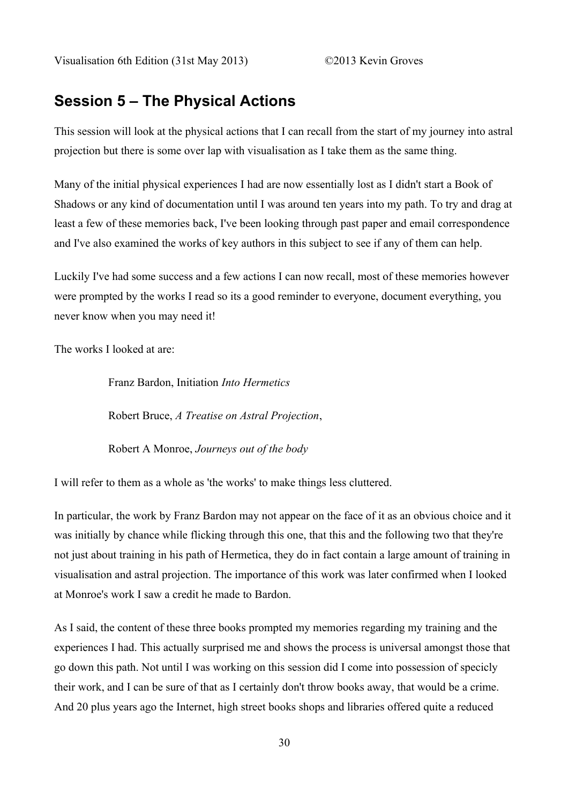# **Session 5 – The Physical Actions**

This session will look at the physical actions that I can recall from the start of my journey into astral projection but there is some over lap with visualisation as I take them as the same thing.

Many of the initial physical experiences I had are now essentially lost as I didn't start a Book of Shadows or any kind of documentation until I was around ten years into my path. To try and drag at least a few of these memories back, I've been looking through past paper and email correspondence and I've also examined the works of key authors in this subject to see if any of them can help.

Luckily I've had some success and a few actions I can now recall, most of these memories however were prompted by the works I read so its a good reminder to everyone, document everything, you never know when you may need it!

The works I looked at are:

Franz Bardon, Initiation *Into Hermetics*

Robert Bruce, *A Treatise on Astral Projection*,

Robert A Monroe, *Journeys out of the body*

I will refer to them as a whole as 'the works' to make things less cluttered.

In particular, the work by Franz Bardon may not appear on the face of it as an obvious choice and it was initially by chance while flicking through this one, that this and the following two that they're not just about training in his path of Hermetica, they do in fact contain a large amount of training in visualisation and astral projection. The importance of this work was later confirmed when I looked at Monroe's work I saw a credit he made to Bardon.

As I said, the content of these three books prompted my memories regarding my training and the experiences I had. This actually surprised me and shows the process is universal amongst those that go down this path. Not until I was working on this session did I come into possession of specicly their work, and I can be sure of that as I certainly don't throw books away, that would be a crime. And 20 plus years ago the Internet, high street books shops and libraries offered quite a reduced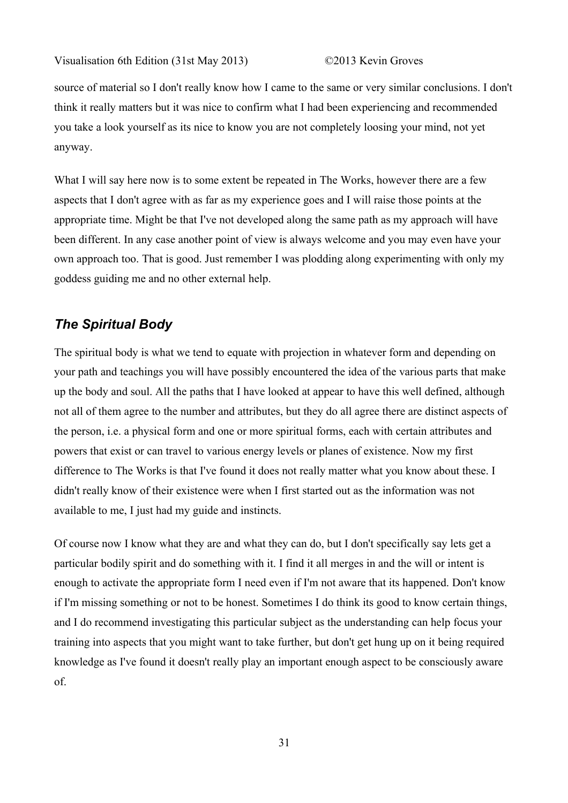source of material so I don't really know how I came to the same or very similar conclusions. I don't think it really matters but it was nice to confirm what I had been experiencing and recommended you take a look yourself as its nice to know you are not completely loosing your mind, not yet anyway.

What I will say here now is to some extent be repeated in The Works, however there are a few aspects that I don't agree with as far as my experience goes and I will raise those points at the appropriate time. Might be that I've not developed along the same path as my approach will have been different. In any case another point of view is always welcome and you may even have your own approach too. That is good. Just remember I was plodding along experimenting with only my goddess guiding me and no other external help.

### *The Spiritual Body*

The spiritual body is what we tend to equate with projection in whatever form and depending on your path and teachings you will have possibly encountered the idea of the various parts that make up the body and soul. All the paths that I have looked at appear to have this well defined, although not all of them agree to the number and attributes, but they do all agree there are distinct aspects of the person, i.e. a physical form and one or more spiritual forms, each with certain attributes and powers that exist or can travel to various energy levels or planes of existence. Now my first difference to The Works is that I've found it does not really matter what you know about these. I didn't really know of their existence were when I first started out as the information was not available to me, I just had my guide and instincts.

Of course now I know what they are and what they can do, but I don't specifically say lets get a particular bodily spirit and do something with it. I find it all merges in and the will or intent is enough to activate the appropriate form I need even if I'm not aware that its happened. Don't know if I'm missing something or not to be honest. Sometimes I do think its good to know certain things, and I do recommend investigating this particular subject as the understanding can help focus your training into aspects that you might want to take further, but don't get hung up on it being required knowledge as I've found it doesn't really play an important enough aspect to be consciously aware of.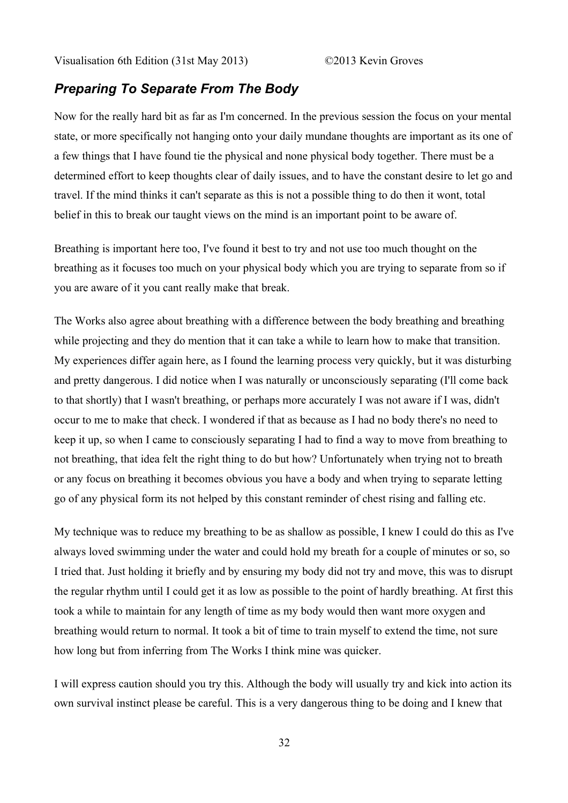### *Preparing To Separate From The Body*

Now for the really hard bit as far as I'm concerned. In the previous session the focus on your mental state, or more specifically not hanging onto your daily mundane thoughts are important as its one of a few things that I have found tie the physical and none physical body together. There must be a determined effort to keep thoughts clear of daily issues, and to have the constant desire to let go and travel. If the mind thinks it can't separate as this is not a possible thing to do then it wont, total belief in this to break our taught views on the mind is an important point to be aware of.

Breathing is important here too, I've found it best to try and not use too much thought on the breathing as it focuses too much on your physical body which you are trying to separate from so if you are aware of it you cant really make that break.

The Works also agree about breathing with a difference between the body breathing and breathing while projecting and they do mention that it can take a while to learn how to make that transition. My experiences differ again here, as I found the learning process very quickly, but it was disturbing and pretty dangerous. I did notice when I was naturally or unconsciously separating (I'll come back to that shortly) that I wasn't breathing, or perhaps more accurately I was not aware if I was, didn't occur to me to make that check. I wondered if that as because as I had no body there's no need to keep it up, so when I came to consciously separating I had to find a way to move from breathing to not breathing, that idea felt the right thing to do but how? Unfortunately when trying not to breath or any focus on breathing it becomes obvious you have a body and when trying to separate letting go of any physical form its not helped by this constant reminder of chest rising and falling etc.

My technique was to reduce my breathing to be as shallow as possible, I knew I could do this as I've always loved swimming under the water and could hold my breath for a couple of minutes or so, so I tried that. Just holding it briefly and by ensuring my body did not try and move, this was to disrupt the regular rhythm until I could get it as low as possible to the point of hardly breathing. At first this took a while to maintain for any length of time as my body would then want more oxygen and breathing would return to normal. It took a bit of time to train myself to extend the time, not sure how long but from inferring from The Works I think mine was quicker.

I will express caution should you try this. Although the body will usually try and kick into action its own survival instinct please be careful. This is a very dangerous thing to be doing and I knew that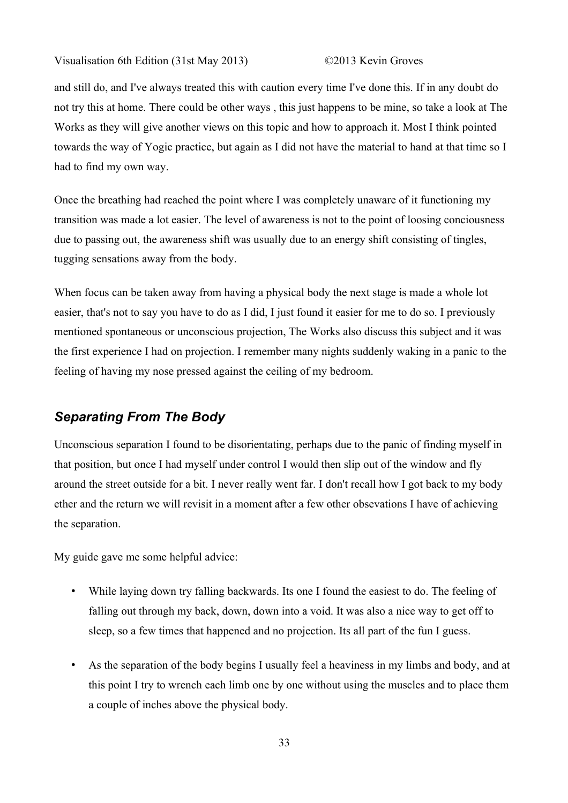and still do, and I've always treated this with caution every time I've done this. If in any doubt do not try this at home. There could be other ways , this just happens to be mine, so take a look at The Works as they will give another views on this topic and how to approach it. Most I think pointed towards the way of Yogic practice, but again as I did not have the material to hand at that time so I had to find my own way.

Once the breathing had reached the point where I was completely unaware of it functioning my transition was made a lot easier. The level of awareness is not to the point of loosing conciousness due to passing out, the awareness shift was usually due to an energy shift consisting of tingles, tugging sensations away from the body.

When focus can be taken away from having a physical body the next stage is made a whole lot easier, that's not to say you have to do as I did, I just found it easier for me to do so. I previously mentioned spontaneous or unconscious projection, The Works also discuss this subject and it was the first experience I had on projection. I remember many nights suddenly waking in a panic to the feeling of having my nose pressed against the ceiling of my bedroom.

## *Separating From The Body*

Unconscious separation I found to be disorientating, perhaps due to the panic of finding myself in that position, but once I had myself under control I would then slip out of the window and fly around the street outside for a bit. I never really went far. I don't recall how I got back to my body ether and the return we will revisit in a moment after a few other obsevations I have of achieving the separation.

My guide gave me some helpful advice:

- While laying down try falling backwards. Its one I found the easiest to do. The feeling of falling out through my back, down, down into a void. It was also a nice way to get off to sleep, so a few times that happened and no projection. Its all part of the fun I guess.
- As the separation of the body begins I usually feel a heaviness in my limbs and body, and at this point I try to wrench each limb one by one without using the muscles and to place them a couple of inches above the physical body.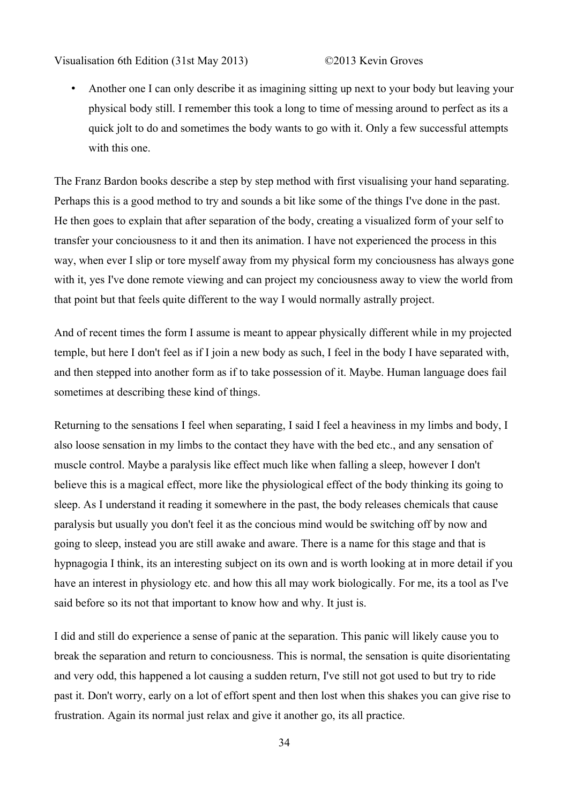• Another one I can only describe it as imagining sitting up next to your body but leaving your physical body still. I remember this took a long to time of messing around to perfect as its a quick jolt to do and sometimes the body wants to go with it. Only a few successful attempts with this one.

The Franz Bardon books describe a step by step method with first visualising your hand separating. Perhaps this is a good method to try and sounds a bit like some of the things I've done in the past. He then goes to explain that after separation of the body, creating a visualized form of your self to transfer your conciousness to it and then its animation. I have not experienced the process in this way, when ever I slip or tore myself away from my physical form my conciousness has always gone with it, yes I've done remote viewing and can project my conciousness away to view the world from that point but that feels quite different to the way I would normally astrally project.

And of recent times the form I assume is meant to appear physically different while in my projected temple, but here I don't feel as if I join a new body as such, I feel in the body I have separated with, and then stepped into another form as if to take possession of it. Maybe. Human language does fail sometimes at describing these kind of things.

Returning to the sensations I feel when separating, I said I feel a heaviness in my limbs and body, I also loose sensation in my limbs to the contact they have with the bed etc., and any sensation of muscle control. Maybe a paralysis like effect much like when falling a sleep, however I don't believe this is a magical effect, more like the physiological effect of the body thinking its going to sleep. As I understand it reading it somewhere in the past, the body releases chemicals that cause paralysis but usually you don't feel it as the concious mind would be switching off by now and going to sleep, instead you are still awake and aware. There is a name for this stage and that is hypnagogia I think, its an interesting subject on its own and is worth looking at in more detail if you have an interest in physiology etc. and how this all may work biologically. For me, its a tool as I've said before so its not that important to know how and why. It just is.

I did and still do experience a sense of panic at the separation. This panic will likely cause you to break the separation and return to conciousness. This is normal, the sensation is quite disorientating and very odd, this happened a lot causing a sudden return, I've still not got used to but try to ride past it. Don't worry, early on a lot of effort spent and then lost when this shakes you can give rise to frustration. Again its normal just relax and give it another go, its all practice.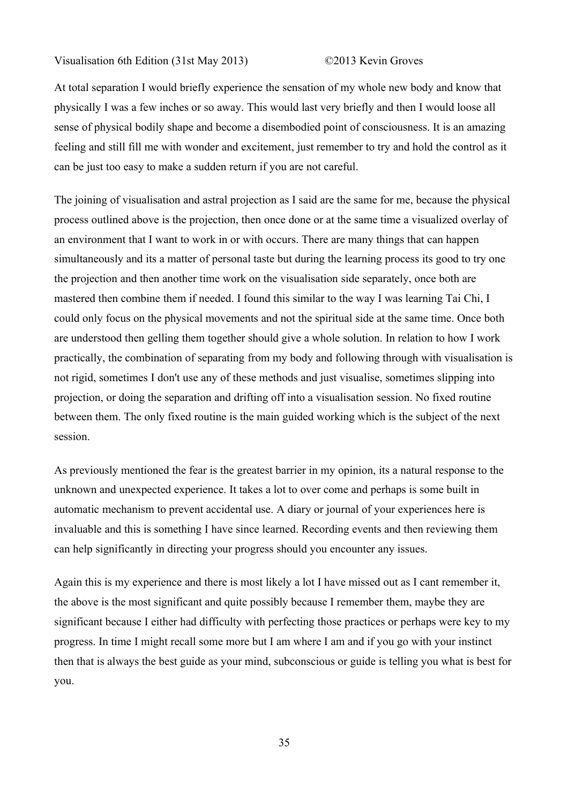At total separation I would briefly experience the sensation of my whole new body and know that physically I was a few inches or so away. This would last very briefly and then I would loose all sense of physical bodily shape and become a disembodied point of consciousness. It is an amazing feeling and still fill me with wonder and excitement, just remember to try and hold the control as it can be just too easy to make a sudden return if you are not careful.

The joining of visualisation and astral projection as I said are the same for me, because the physical process outlined above is the projection, then once done or at the same time a visualized overlay of an environment that I want to work in or with occurs. There are many things that can happen simultaneously and its a matter of personal taste but during the learning process its good to try one the projection and then another time work on the visualisation side separately, once both are mastered then combine them if needed. I found this similar to the way I was learning Tai Chi, I could only focus on the physical movements and not the spiritual side at the same time. Once both are understood then gelling them together should give a whole solution. In relation to how I work practically, the combination of separating from my body and following through with visualisation is not rigid, sometimes I don't use any of these methods and just visualise, sometimes slipping into projection, or doing the separation and drifting off into a visualisation session. No fixed routine between them. The only fixed routine is the main guided working which is the subject of the next session.

As previously mentioned the fear is the greatest barrier in my opinion, its a natural response to the unknown and unexpected experience. It takes a lot to over come and perhaps is some built in automatic mechanism to prevent accidental use. A diary or journal of your experiences here is invaluable and this is something I have since learned. Recording events and then reviewing them can help significantly in directing your progress should you encounter any issues.

Again this is my experience and there is most likely a lot I have missed out as I cant remember it, the above is the most significant and quite possibly because I remember them, maybe they are significant because I either had difficulty with perfecting those practices or perhaps were key to my progress. In time I might recall some more but I am where I am and if you go with your instinct then that is always the best guide as your mind, subconscious or guide is telling you what is best for you.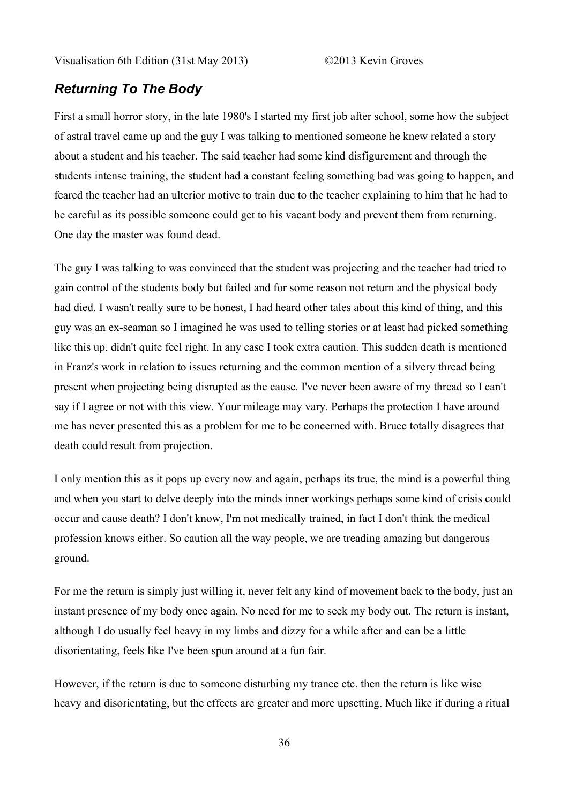## *Returning To The Body*

First a small horror story, in the late 1980's I started my first job after school, some how the subject of astral travel came up and the guy I was talking to mentioned someone he knew related a story about a student and his teacher. The said teacher had some kind disfigurement and through the students intense training, the student had a constant feeling something bad was going to happen, and feared the teacher had an ulterior motive to train due to the teacher explaining to him that he had to be careful as its possible someone could get to his vacant body and prevent them from returning. One day the master was found dead.

The guy I was talking to was convinced that the student was projecting and the teacher had tried to gain control of the students body but failed and for some reason not return and the physical body had died. I wasn't really sure to be honest, I had heard other tales about this kind of thing, and this guy was an ex-seaman so I imagined he was used to telling stories or at least had picked something like this up, didn't quite feel right. In any case I took extra caution. This sudden death is mentioned in Franz's work in relation to issues returning and the common mention of a silvery thread being present when projecting being disrupted as the cause. I've never been aware of my thread so I can't say if I agree or not with this view. Your mileage may vary. Perhaps the protection I have around me has never presented this as a problem for me to be concerned with. Bruce totally disagrees that death could result from projection.

I only mention this as it pops up every now and again, perhaps its true, the mind is a powerful thing and when you start to delve deeply into the minds inner workings perhaps some kind of crisis could occur and cause death? I don't know, I'm not medically trained, in fact I don't think the medical profession knows either. So caution all the way people, we are treading amazing but dangerous ground.

For me the return is simply just willing it, never felt any kind of movement back to the body, just an instant presence of my body once again. No need for me to seek my body out. The return is instant, although I do usually feel heavy in my limbs and dizzy for a while after and can be a little disorientating, feels like I've been spun around at a fun fair.

However, if the return is due to someone disturbing my trance etc. then the return is like wise heavy and disorientating, but the effects are greater and more upsetting. Much like if during a ritual